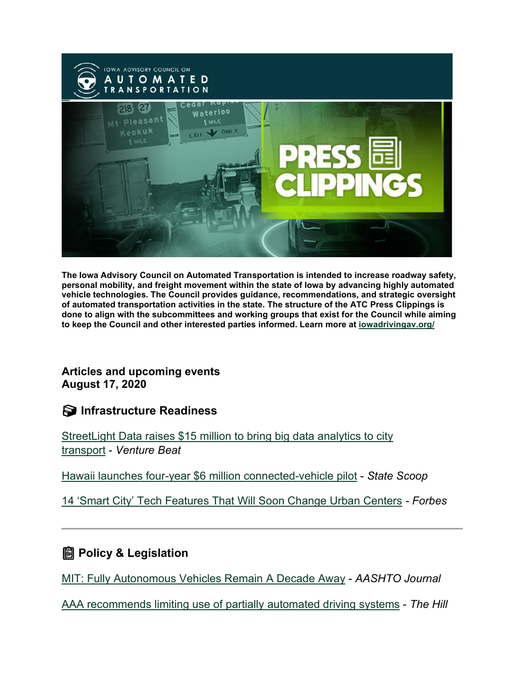

**The Iowa Advisory Council on Automated Transportation is intended to increase roadway safety, personal mobility, and freight movement within the state of Iowa by advancing highly automated vehicle technologies. The Council provides guidance, recommendations, and strategic oversight of automated transportation activities in the state. The structure of the ATC Press Clippings is done to align with the subcommittees and working groups that exist for the Council while aiming to keep the Council and other interested parties informed. Learn more at [iowadrivingav.org/](https://iowadrivingav.org/?utm_medium=email&utm_source=govdelivery)**

#### **Articles and upcoming events August 17, 2020**

**Infrastructure Readiness**

[StreetLight Data raises \\$15 million to bring big data analytics to city](https://venturebeat.com/2020/08/06/streetlight-data-raises-15-million-to-bring-big-data-analytics-to-city-transport/?utm_medium=email&utm_source=govdelivery)  [transport](https://venturebeat.com/2020/08/06/streetlight-data-raises-15-million-to-bring-big-data-analytics-to-city-transport/?utm_medium=email&utm_source=govdelivery) - *Venture Beat*

[Hawaii launches four-year \\$6 million connected-vehicle pilot](https://statescoop.com/hawaii-launches-four-year-6-million-connected-vehicle-pilot-project/?utm_medium=email&utm_source=govdelivery) - *State Scoop*

[14 'Smart City' Tech Features That Will Soon Change Urban Centers](https://www.forbes.com/sites/forbestechcouncil/2020/07/31/14-smart-city-tech-features-that-will-soon-change-urban-centers/?utm_medium=email&utm_source=govdelivery#6b04a1bcc2dd) *- Forbes*

#### **<u></u></u> Policy & Legislation**

[MIT: Fully Autonomous Vehicles Remain A Decade Away](https://aashtojournal.org/2020/08/07/mit-fully-autonomous-vehicles-remain-a-decade-away/?utm_medium=email&utm_source=govdelivery) - *AASHTO Journal*

AAA [recommends limiting use of partially automated driving systems](https://thehill.com/policy/transportation/510866-aaa-recommends-limiting-use-of-partially-automated-driving-systems?utm_medium=email&utm_source=govdelivery) - *The Hill*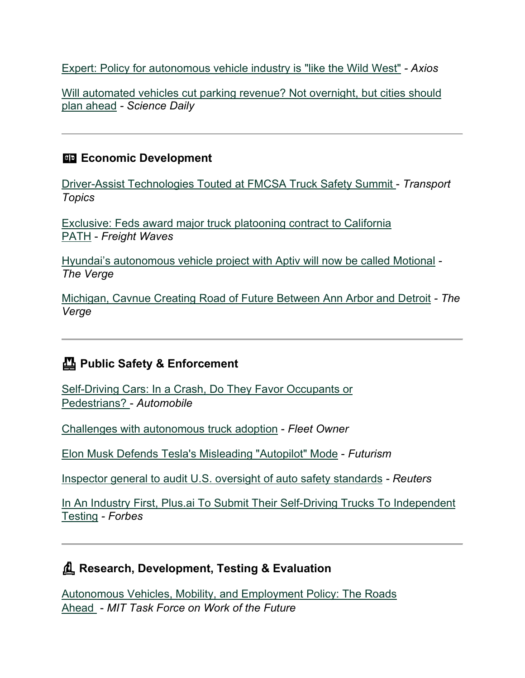[Expert: Policy for autonomous vehicle industry is "like the Wild West"](https://www.axios.com/autonomous-vehicles-driverless-cars-policy-9b3d4157-2502-429c-937c-014fa50dfe92.html?utm_medium=email&utm_source=govdelivery) *- Axios*

[Will automated vehicles cut parking revenue? Not overnight, but cities should](https://www.sciencedaily.com/releases/2020/08/200805181800.htm?utm_medium=email&utm_source=govdelivery)  [plan ahead](https://www.sciencedaily.com/releases/2020/08/200805181800.htm?utm_medium=email&utm_source=govdelivery) *- Science Daily*

#### **Example 2** Economic Development

[Driver-Assist Technologies Touted at FMCSA Truck Safety Summit](https://www.ttnews.com/articles/driver-assist-technologies-touted-fmcsa-truck-safety-summit?utm_medium=email&utm_source=govdelivery) - *Transport Topics*

[Exclusive: Feds award major truck platooning contract to California](https://www.freightwaves.com/news/feds-award-major-truck-platooning-contract-to-california-path?utm_medium=email&utm_source=govdelivery)  [PATH](https://www.freightwaves.com/news/feds-award-major-truck-platooning-contract-to-california-path?utm_medium=email&utm_source=govdelivery) - *Freight Waves*

[Hyundai's autonomous vehicle project with Aptiv will now be called Motional](https://www.theverge.com/2020/8/11/21362322/hyundai-aptiv-motional-autonomous-vehicle-joint-venture?utm_medium=email&utm_source=govdelivery) *- The Verge*

[Michigan, Cavnue Creating Road of Future Between Ann Arbor and Detroit](https://www.michiganbusiness.org/press-releases/2020/08/michigan-cavnue-creating-road-of-future-between-ann-arbor-and-detroit/?utm_medium=email&utm_source=govdelivery) *- The Verge*

## **Public Safety & Enforcement**

[Self-Driving Cars: In a Crash, Do They Favor Occupants or](https://www.automobilemag.com/news/self-driving-cars-morality-blame-accidents/?utm_medium=email&utm_source=govdelivery)  [Pedestrians?](https://www.automobilemag.com/news/self-driving-cars-morality-blame-accidents/?utm_medium=email&utm_source=govdelivery) - *Automobile*

[Challenges with autonomous truck adoption](https://www.fleetowner.com/technology/article/21137064/challenges-with-autonomous-truck-adoption?utm_medium=email&utm_source=govdelivery) - *Fleet Owner*

[Elon Musk Defends Tesla's Misleading "Autopilot" Mode](https://futurism.com/the-byte/elon-musk-defends-tesla-misleading-autopilot-mode?mc_cid=324a1bebfe&mc_eid=057527550d&utm_medium=email&utm_source=govdelivery) - *Futurism*

[Inspector general to audit U.S. oversight of auto safety standards](https://www.reuters.com/article/us-usa-autos-safety/inspector-general-to-audit-us-oversight-of-auto-safety-standards-idUSKCN2572FB?utm_medium=email&utm_source=govdelivery) *- Reuters*

[In An Industry First, Plus.ai To Submit Their Self-Driving Trucks To Independent](https://www.forbes.com/sites/richardbishop1/2020/07/21/in-an-industry-first-plusai-to-submit-their-self-driving-trucks-to-independent-testing/?utm_medium=email&utm_source=govdelivery#54d5a0c46254)  [Testing](https://www.forbes.com/sites/richardbishop1/2020/07/21/in-an-industry-first-plusai-to-submit-their-self-driving-trucks-to-independent-testing/?utm_medium=email&utm_source=govdelivery#54d5a0c46254) *- Forbes*

## **Research, Development, Testing & Evaluation**

[Autonomous Vehicles, Mobility, and Employment Policy: The Roads](https://workofthefuture.mit.edu/sites/default/files/2020-07/WotF-2020-Research-Brief-Leonard-Mindell-Stayton.pdf?utm_medium=email&utm_source=govdelivery)  [Ahead](https://workofthefuture.mit.edu/sites/default/files/2020-07/WotF-2020-Research-Brief-Leonard-Mindell-Stayton.pdf?utm_medium=email&utm_source=govdelivery) - *MIT Task Force on Work of the Future*